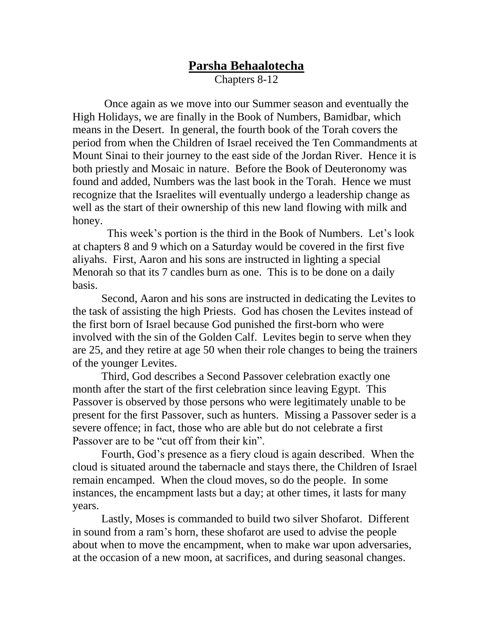## **Parsha Behaalotecha**

Chapters 8-12

Once again as we move into our Summer season and eventually the High Holidays, we are finally in the Book of Numbers, Bamidbar, which means in the Desert. In general, the fourth book of the Torah covers the period from when the Children of Israel received the Ten Commandments at Mount Sinai to their journey to the east side of the Jordan River. Hence it is both priestly and Mosaic in nature. Before the Book of Deuteronomy was found and added, Numbers was the last book in the Torah. Hence we must recognize that the Israelites will eventually undergo a leadership change as well as the start of their ownership of this new land flowing with milk and honey.

 This week's portion is the third in the Book of Numbers. Let's look at chapters 8 and 9 which on a Saturday would be covered in the first five aliyahs. First, Aaron and his sons are instructed in lighting a special Menorah so that its 7 candles burn as one. This is to be done on a daily basis.

Second, Aaron and his sons are instructed in dedicating the Levites to the task of assisting the high Priests. God has chosen the Levites instead of the first born of Israel because God punished the first-born who were involved with the sin of the Golden Calf. Levites begin to serve when they are 25, and they retire at age 50 when their role changes to being the trainers of the younger Levites.

Third, God describes a Second Passover celebration exactly one month after the start of the first celebration since leaving Egypt. This Passover is observed by those persons who were legitimately unable to be present for the first Passover, such as hunters. Missing a Passover seder is a severe offence; in fact, those who are able but do not celebrate a first Passover are to be "cut off from their kin".

Fourth, God's presence as a fiery cloud is again described. When the cloud is situated around the tabernacle and stays there, the Children of Israel remain encamped. When the cloud moves, so do the people. In some instances, the encampment lasts but a day; at other times, it lasts for many years.

Lastly, Moses is commanded to build two silver Shofarot. Different in sound from a ram's horn, these shofarot are used to advise the people about when to move the encampment, when to make war upon adversaries, at the occasion of a new moon, at sacrifices, and during seasonal changes.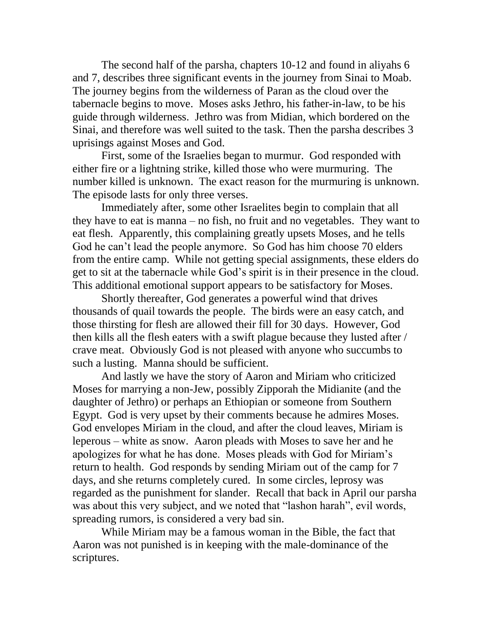The second half of the parsha, chapters 10-12 and found in aliyahs 6 and 7, describes three significant events in the journey from Sinai to Moab. The journey begins from the wilderness of Paran as the cloud over the tabernacle begins to move. Moses asks Jethro, his father-in-law, to be his guide through wilderness. Jethro was from Midian, which bordered on the Sinai, and therefore was well suited to the task. Then the parsha describes 3 uprisings against Moses and God.

First, some of the Israelies began to murmur. God responded with either fire or a lightning strike, killed those who were murmuring. The number killed is unknown. The exact reason for the murmuring is unknown. The episode lasts for only three verses.

Immediately after, some other Israelites begin to complain that all they have to eat is manna – no fish, no fruit and no vegetables. They want to eat flesh. Apparently, this complaining greatly upsets Moses, and he tells God he can't lead the people anymore. So God has him choose 70 elders from the entire camp. While not getting special assignments, these elders do get to sit at the tabernacle while God's spirit is in their presence in the cloud. This additional emotional support appears to be satisfactory for Moses.

Shortly thereafter, God generates a powerful wind that drives thousands of quail towards the people. The birds were an easy catch, and those thirsting for flesh are allowed their fill for 30 days. However, God then kills all the flesh eaters with a swift plague because they lusted after / crave meat. Obviously God is not pleased with anyone who succumbs to such a lusting. Manna should be sufficient.

And lastly we have the story of Aaron and Miriam who criticized Moses for marrying a non-Jew, possibly Zipporah the Midianite (and the daughter of Jethro) or perhaps an Ethiopian or someone from Southern Egypt. God is very upset by their comments because he admires Moses. God envelopes Miriam in the cloud, and after the cloud leaves, Miriam is leperous – white as snow. Aaron pleads with Moses to save her and he apologizes for what he has done. Moses pleads with God for Miriam's return to health. God responds by sending Miriam out of the camp for 7 days, and she returns completely cured. In some circles, leprosy was regarded as the punishment for slander. Recall that back in April our parsha was about this very subject, and we noted that "lashon harah", evil words, spreading rumors, is considered a very bad sin.

While Miriam may be a famous woman in the Bible, the fact that Aaron was not punished is in keeping with the male-dominance of the scriptures.